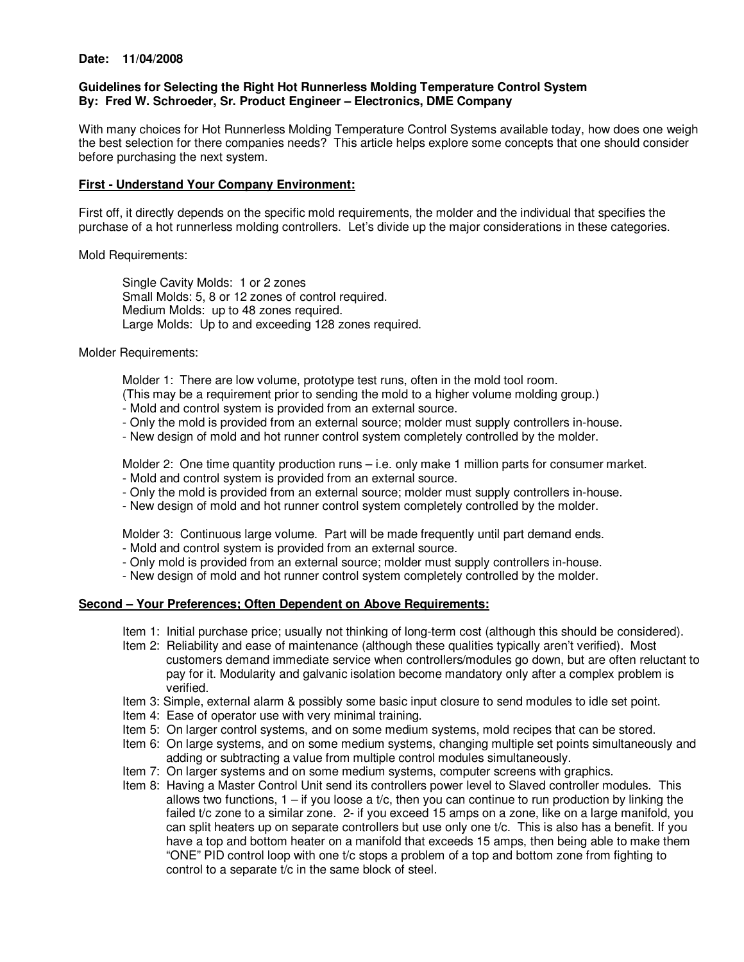#### **Date: 11/04/2008**

## **Guidelines for Selecting the Right Hot Runnerless Molding Temperature Control System By: Fred W. Schroeder, Sr. Product Engineer – Electronics, DME Company**

With many choices for Hot Runnerless Molding Temperature Control Systems available today, how does one weigh the best selection for there companies needs? This article helps explore some concepts that one should consider before purchasing the next system.

## **First - Understand Your Company Environment:**

First off, it directly depends on the specific mold requirements, the molder and the individual that specifies the purchase of a hot runnerless molding controllers. Let's divide up the major considerations in these categories.

Mold Requirements:

 Single Cavity Molds: 1 or 2 zones Small Molds: 5, 8 or 12 zones of control required. Medium Molds: up to 48 zones required. Large Molds: Up to and exceeding 128 zones required.

Molder Requirements:

Molder 1: There are low volume, prototype test runs, often in the mold tool room.

- (This may be a requirement prior to sending the mold to a higher volume molding group.)
- Mold and control system is provided from an external source.
- Only the mold is provided from an external source; molder must supply controllers in-house.
- New design of mold and hot runner control system completely controlled by the molder.

 Molder 2: One time quantity production runs – i.e. only make 1 million parts for consumer market. - Mold and control system is provided from an external source.

- Only the mold is provided from an external source; molder must supply controllers in-house.
- New design of mold and hot runner control system completely controlled by the molder.

Molder 3: Continuous large volume. Part will be made frequently until part demand ends.

- Mold and control system is provided from an external source.
- Only mold is provided from an external source; molder must supply controllers in-house.
- New design of mold and hot runner control system completely controlled by the molder.

#### **Second – Your Preferences; Often Dependent on Above Requirements:**

- Item 1: Initial purchase price; usually not thinking of long-term cost (although this should be considered).
- Item 2: Reliability and ease of maintenance (although these qualities typically aren't verified). Most customers demand immediate service when controllers/modules go down, but are often reluctant to pay for it. Modularity and galvanic isolation become mandatory only after a complex problem is verified.
- Item 3: Simple, external alarm & possibly some basic input closure to send modules to idle set point.
- Item 4: Ease of operator use with very minimal training.
- Item 5: On larger control systems, and on some medium systems, mold recipes that can be stored.
- Item 6: On large systems, and on some medium systems, changing multiple set points simultaneously and adding or subtracting a value from multiple control modules simultaneously.
- Item 7: On larger systems and on some medium systems, computer screens with graphics.
- Item 8: Having a Master Control Unit send its controllers power level to Slaved controller modules. This allows two functions,  $1 - if$  you loose a t/c, then you can continue to run production by linking the failed t/c zone to a similar zone. 2- if you exceed 15 amps on a zone, like on a large manifold, you can split heaters up on separate controllers but use only one t/c. This is also has a benefit. If you have a top and bottom heater on a manifold that exceeds 15 amps, then being able to make them "ONE" PID control loop with one t/c stops a problem of a top and bottom zone from fighting to control to a separate t/c in the same block of steel.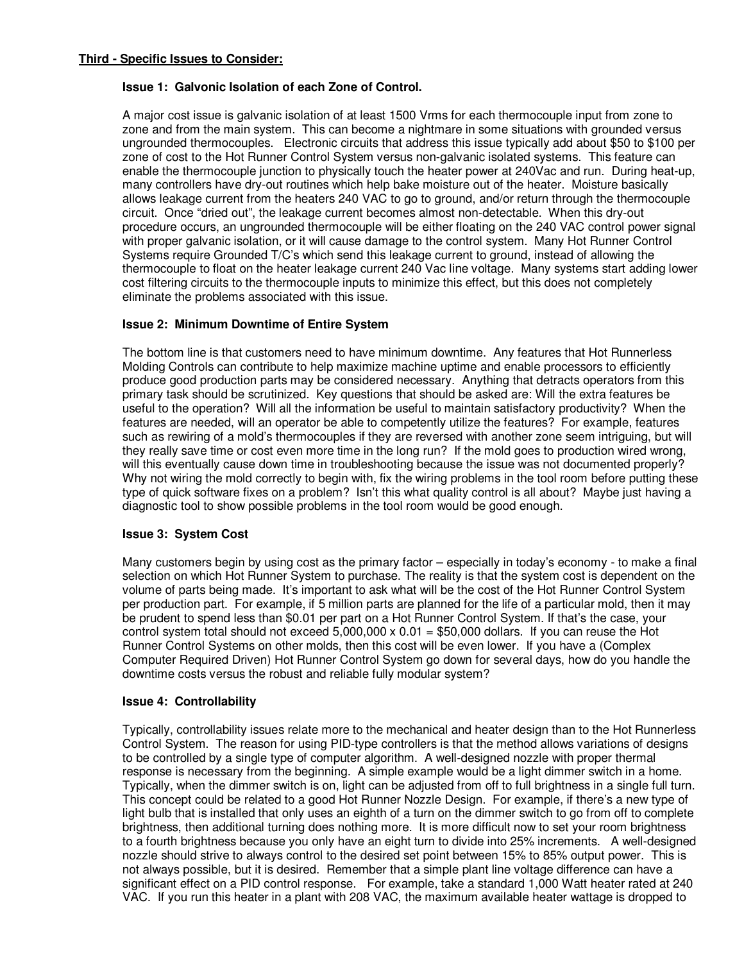# **Issue 1: Galvonic Isolation of each Zone of Control.**

A major cost issue is galvanic isolation of at least 1500 Vrms for each thermocouple input from zone to zone and from the main system. This can become a nightmare in some situations with grounded versus ungrounded thermocouples. Electronic circuits that address this issue typically add about \$50 to \$100 per zone of cost to the Hot Runner Control System versus non-galvanic isolated systems. This feature can enable the thermocouple junction to physically touch the heater power at 240Vac and run. During heat-up, many controllers have dry-out routines which help bake moisture out of the heater. Moisture basically allows leakage current from the heaters 240 VAC to go to ground, and/or return through the thermocouple circuit. Once "dried out", the leakage current becomes almost non-detectable. When this dry-out procedure occurs, an ungrounded thermocouple will be either floating on the 240 VAC control power signal with proper galvanic isolation, or it will cause damage to the control system. Many Hot Runner Control Systems require Grounded T/C's which send this leakage current to ground, instead of allowing the thermocouple to float on the heater leakage current 240 Vac line voltage. Many systems start adding lower cost filtering circuits to the thermocouple inputs to minimize this effect, but this does not completely eliminate the problems associated with this issue.

# **Issue 2: Minimum Downtime of Entire System**

The bottom line is that customers need to have minimum downtime. Any features that Hot Runnerless Molding Controls can contribute to help maximize machine uptime and enable processors to efficiently produce good production parts may be considered necessary. Anything that detracts operators from this primary task should be scrutinized. Key questions that should be asked are: Will the extra features be useful to the operation? Will all the information be useful to maintain satisfactory productivity? When the features are needed, will an operator be able to competently utilize the features? For example, features such as rewiring of a mold's thermocouples if they are reversed with another zone seem intriguing, but will they really save time or cost even more time in the long run? If the mold goes to production wired wrong, will this eventually cause down time in troubleshooting because the issue was not documented properly? Why not wiring the mold correctly to begin with, fix the wiring problems in the tool room before putting these type of quick software fixes on a problem? Isn't this what quality control is all about? Maybe just having a diagnostic tool to show possible problems in the tool room would be good enough.

# **Issue 3: System Cost**

Many customers begin by using cost as the primary factor – especially in today's economy - to make a final selection on which Hot Runner System to purchase. The reality is that the system cost is dependent on the volume of parts being made. It's important to ask what will be the cost of the Hot Runner Control System per production part. For example, if 5 million parts are planned for the life of a particular mold, then it may be prudent to spend less than \$0.01 per part on a Hot Runner Control System. If that's the case, your control system total should not exceed  $5,000,000 \times 0.01 = $50,000$  dollars. If you can reuse the Hot Runner Control Systems on other molds, then this cost will be even lower. If you have a (Complex Computer Required Driven) Hot Runner Control System go down for several days, how do you handle the downtime costs versus the robust and reliable fully modular system?

#### **Issue 4: Controllability**

Typically, controllability issues relate more to the mechanical and heater design than to the Hot Runnerless Control System. The reason for using PID-type controllers is that the method allows variations of designs to be controlled by a single type of computer algorithm. A well-designed nozzle with proper thermal response is necessary from the beginning. A simple example would be a light dimmer switch in a home. Typically, when the dimmer switch is on, light can be adjusted from off to full brightness in a single full turn. This concept could be related to a good Hot Runner Nozzle Design. For example, if there's a new type of light bulb that is installed that only uses an eighth of a turn on the dimmer switch to go from off to complete brightness, then additional turning does nothing more. It is more difficult now to set your room brightness to a fourth brightness because you only have an eight turn to divide into 25% increments. A well-designed nozzle should strive to always control to the desired set point between 15% to 85% output power. This is not always possible, but it is desired. Remember that a simple plant line voltage difference can have a significant effect on a PID control response. For example, take a standard 1,000 Watt heater rated at 240 VAC. If you run this heater in a plant with 208 VAC, the maximum available heater wattage is dropped to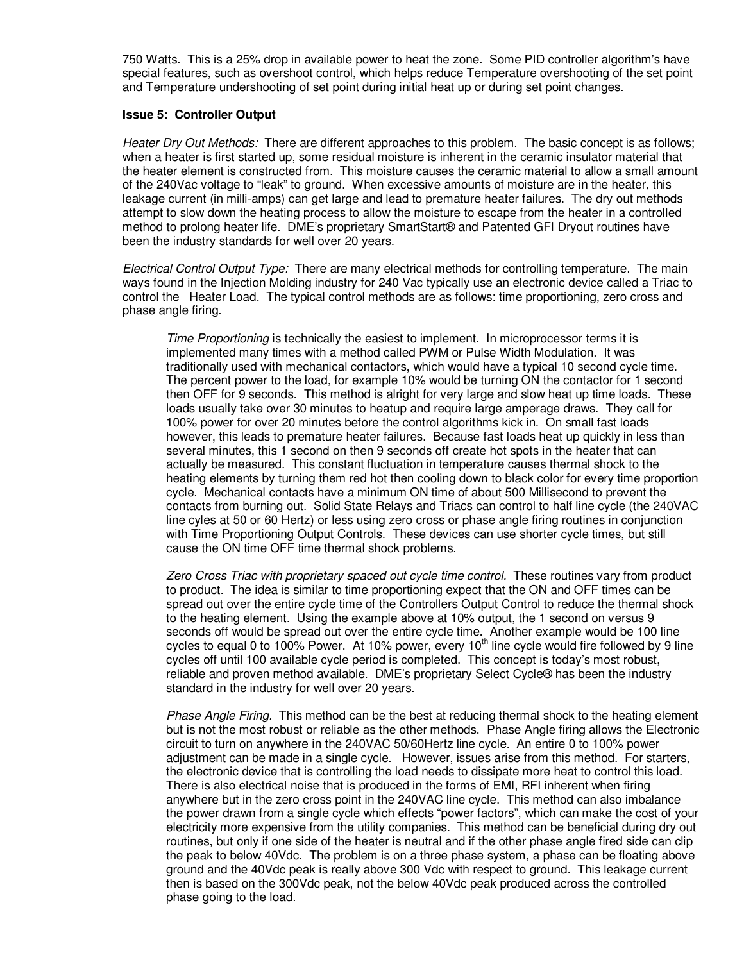750 Watts. This is a 25% drop in available power to heat the zone. Some PID controller algorithm's have special features, such as overshoot control, which helps reduce Temperature overshooting of the set point and Temperature undershooting of set point during initial heat up or during set point changes.

#### **Issue 5: Controller Output**

Heater Dry Out Methods: There are different approaches to this problem. The basic concept is as follows; when a heater is first started up, some residual moisture is inherent in the ceramic insulator material that the heater element is constructed from. This moisture causes the ceramic material to allow a small amount of the 240Vac voltage to "leak" to ground. When excessive amounts of moisture are in the heater, this leakage current (in milli-amps) can get large and lead to premature heater failures. The dry out methods attempt to slow down the heating process to allow the moisture to escape from the heater in a controlled method to prolong heater life. DME's proprietary SmartStart® and Patented GFI Dryout routines have been the industry standards for well over 20 years.

Electrical Control Output Type: There are many electrical methods for controlling temperature. The main ways found in the Injection Molding industry for 240 Vac typically use an electronic device called a Triac to control the Heater Load. The typical control methods are as follows: time proportioning, zero cross and phase angle firing.

Time Proportioning is technically the easiest to implement. In microprocessor terms it is implemented many times with a method called PWM or Pulse Width Modulation. It was traditionally used with mechanical contactors, which would have a typical 10 second cycle time. The percent power to the load, for example 10% would be turning ON the contactor for 1 second then OFF for 9 seconds. This method is alright for very large and slow heat up time loads. These loads usually take over 30 minutes to heatup and require large amperage draws. They call for 100% power for over 20 minutes before the control algorithms kick in. On small fast loads however, this leads to premature heater failures. Because fast loads heat up quickly in less than several minutes, this 1 second on then 9 seconds off create hot spots in the heater that can actually be measured. This constant fluctuation in temperature causes thermal shock to the heating elements by turning them red hot then cooling down to black color for every time proportion cycle. Mechanical contacts have a minimum ON time of about 500 Millisecond to prevent the contacts from burning out. Solid State Relays and Triacs can control to half line cycle (the 240VAC line cyles at 50 or 60 Hertz) or less using zero cross or phase angle firing routines in conjunction with Time Proportioning Output Controls. These devices can use shorter cycle times, but still cause the ON time OFF time thermal shock problems.

Zero Cross Triac with proprietary spaced out cycle time control. These routines vary from product to product. The idea is similar to time proportioning expect that the ON and OFF times can be spread out over the entire cycle time of the Controllers Output Control to reduce the thermal shock to the heating element. Using the example above at 10% output, the 1 second on versus 9 seconds off would be spread out over the entire cycle time. Another example would be 100 line cycles to equal 0 to 100% Power. At 10% power, every 10<sup>th</sup> line cycle would fire followed by 9 line cycles off until 100 available cycle period is completed. This concept is today's most robust, reliable and proven method available. DME's proprietary Select Cycle® has been the industry standard in the industry for well over 20 years.

Phase Angle Firing. This method can be the best at reducing thermal shock to the heating element but is not the most robust or reliable as the other methods. Phase Angle firing allows the Electronic circuit to turn on anywhere in the 240VAC 50/60Hertz line cycle. An entire 0 to 100% power adjustment can be made in a single cycle. However, issues arise from this method. For starters, the electronic device that is controlling the load needs to dissipate more heat to control this load. There is also electrical noise that is produced in the forms of EMI, RFI inherent when firing anywhere but in the zero cross point in the 240VAC line cycle. This method can also imbalance the power drawn from a single cycle which effects "power factors", which can make the cost of your electricity more expensive from the utility companies. This method can be beneficial during dry out routines, but only if one side of the heater is neutral and if the other phase angle fired side can clip the peak to below 40Vdc. The problem is on a three phase system, a phase can be floating above ground and the 40Vdc peak is really above 300 Vdc with respect to ground. This leakage current then is based on the 300Vdc peak, not the below 40Vdc peak produced across the controlled phase going to the load.